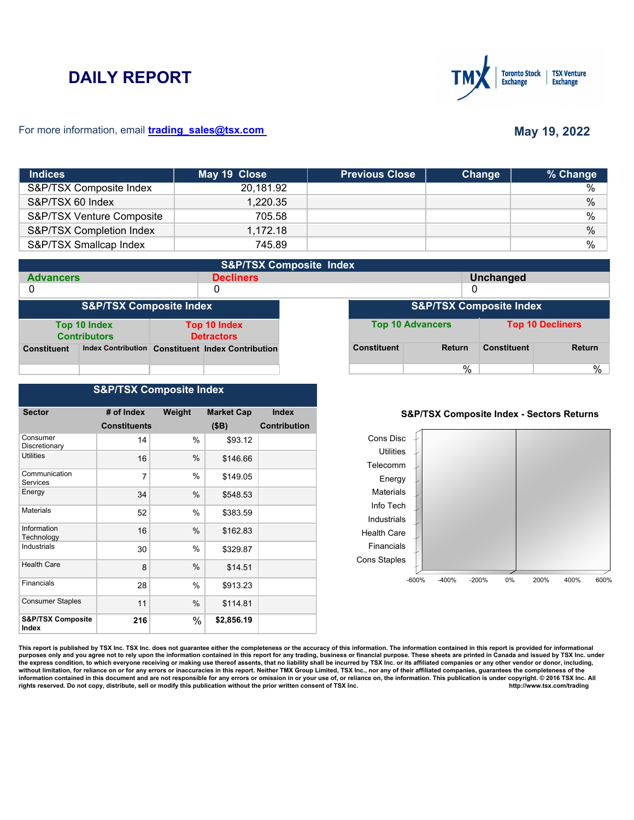# **DAILY REPORT**



#### For more information, email **trading\_sales@tsx.com**

## **May 19, 2022**

| <b>Indices</b>            | May 19 Close | <b>Previous Close</b> | Change | % Change      |
|---------------------------|--------------|-----------------------|--------|---------------|
| S&P/TSX Composite Index   | 20,181.92    |                       |        | $\%$          |
| S&P/TSX 60 Index          | 1,220.35     |                       |        | $\%$          |
| S&P/TSX Venture Composite | 705.58       |                       |        | %             |
| S&P/TSX Completion Index  | 1.172.18     |                       |        | $\%$          |
| S&P/TSX Smallcap Index    | 745.89       |                       |        | $\frac{0}{0}$ |

| <b>S&amp;P/TSX Composite Index</b> |                                     |  |                                                   |                                    |                    |                         |                    |                         |
|------------------------------------|-------------------------------------|--|---------------------------------------------------|------------------------------------|--------------------|-------------------------|--------------------|-------------------------|
| <b>Advancers</b>                   |                                     |  | <b>Decliners</b>                                  |                                    |                    |                         | <b>Unchanged</b>   |                         |
| 0                                  |                                     |  | 0                                                 |                                    |                    | 0                       |                    |                         |
| <b>S&amp;P/TSX Composite Index</b> |                                     |  |                                                   | <b>S&amp;P/TSX Composite Index</b> |                    |                         |                    |                         |
|                                    | Top 10 Index<br><b>Contributors</b> |  | Top 10 Index<br><b>Detractors</b>                 |                                    |                    | <b>Top 10 Advancers</b> |                    | <b>Top 10 Decliners</b> |
| <b>Constituent</b>                 |                                     |  | Index Contribution Constituent Index Contribution |                                    | <b>Constituent</b> | <b>Return</b>           | <b>Constituent</b> | <b>Return</b>           |
|                                    |                                     |  |                                                   |                                    |                    | %                       |                    | %                       |

## **S&P/TSX Composite Index**

| <b>Sector</b>                         | # of Index          | Weight | <b>Market Cap</b> | <b>Index</b>        |
|---------------------------------------|---------------------|--------|-------------------|---------------------|
|                                       | <b>Constituents</b> |        | (SB)              | <b>Contribution</b> |
| Consumer<br>Discretionary             | 14                  | $\%$   | \$93.12           |                     |
| <b>Utilities</b>                      | 16                  | %      | \$146.66          |                     |
| Communication<br>Services             | 7                   | $\%$   | \$149.05          |                     |
| Energy                                | 34                  | %      | \$548.53          |                     |
| <b>Materials</b>                      | 52                  | %      | \$383.59          |                     |
| Information<br>Technology             | 16                  | %      | \$162.83          |                     |
| Industrials                           | 30                  | $\%$   | \$329.87          |                     |
| <b>Health Care</b>                    | 8                   | $\%$   | \$14.51           |                     |
| Financials                            | 28                  | $\%$   | \$913.23          |                     |
| <b>Consumer Staples</b>               | 11                  | %      | \$114.81          |                     |
| <b>S&amp;P/TSX Composite</b><br>Index | 216                 | $\%$   | \$2,856.19        |                     |

### **S&P/TSX Composite Index - Sectors Returns**



This report is published by TSX Inc. TSX Inc. does not guarantee either the completeness or the accuracy of this information. The information contained in this report is provided for informational **purposes only and you agree not to rely upon the information contained in this report for any trading, business or financial purpose. These sheets are printed in Canada and issued by TSX Inc. under**  the express condition, to which everyone receiving or making use thereof assents, that no liability shall be incurred by TSX Inc. or its affiliated companies or any other vendor or donor, including,<br>without limitation, for information contained in this document and are not responsible for any errors or omission in or your use of, or reliance on, the information. This publication is under copyright. © 2016 TSX Inc. All <br>
rights reserved. Do n rights reserved. Do not copy, distribute, sell or modify this publication without the prior written consent of TSX Inc.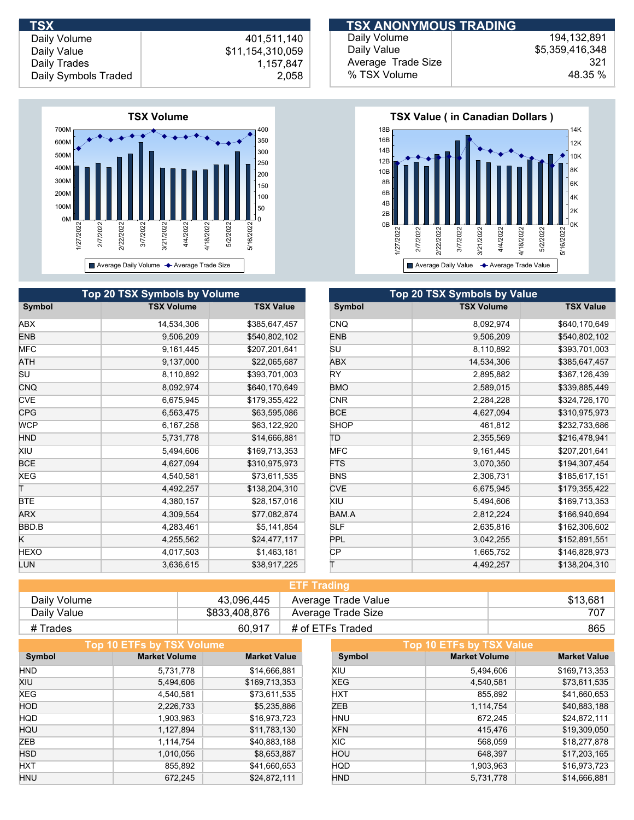

|            | <b>Top 20 TSX Symbols by Volume</b> |                  |             | Top 20 TSX Symbols by Value |
|------------|-------------------------------------|------------------|-------------|-----------------------------|
| Symbol     | <b>TSX Volume</b>                   | <b>TSX Value</b> | Symbol      | <b>TSX Volume</b>           |
| ABX        | 14,534,306                          | \$385,647,457    | <b>CNQ</b>  | 8,092,974                   |
| <b>ENB</b> | 9,506,209                           | \$540,802,102    | <b>ENB</b>  | 9,506,209                   |
| <b>MFC</b> | 9,161,445                           | \$207,201,641    | SU          | 8,110,892                   |
| ATH        | 9,137,000                           | \$22,065,687     | <b>ABX</b>  | 14,534,306                  |
| SU         | 8,110,892                           | \$393,701,003    | RY.         | 2,895,882                   |
| <b>CNQ</b> | 8,092,974                           | \$640,170,649    | <b>BMO</b>  | 2,589,015                   |
| <b>CVE</b> | 6,675,945                           | \$179,355,422    | <b>CNR</b>  | 2,284,228                   |
| <b>CPG</b> | 6,563,475                           | \$63,595,086     | <b>BCE</b>  | 4,627,094                   |
| <b>WCP</b> | 6,167,258                           | \$63,122,920     | <b>SHOP</b> | 461,812                     |
| <b>HND</b> | 5,731,778                           | \$14,666,881     | ΤD          | 2,355,569                   |
| XIU        | 5,494,606                           | \$169,713,353    | <b>MFC</b>  | 9,161,445                   |
| <b>BCE</b> | 4,627,094                           | \$310,975,973    | <b>FTS</b>  | 3,070,350                   |
| XEG        | 4,540,581                           | \$73,611,535     | <b>BNS</b>  | 2,306,731                   |
| т          | 4,492,257                           | \$138,204,310    | <b>CVE</b>  | 6,675,945                   |
| BTE        | 4,380,157                           | \$28,157,016     | XIU         | 5,494,606                   |
| ARX        | 4,309,554                           | \$77,082,874     | BAM.A       | 2,812,224                   |
| BBD.B      | 4,283,461                           | \$5,141,854      | <b>SLF</b>  | 2,635,816                   |
| K          | 4,255,562                           | \$24,477,117     | <b>PPL</b>  | 3,042,255                   |
| HEXO       | 4,017,503                           | \$1,463,181      | CP          | 1,665,752                   |
| LUN        | 3,636,615                           | \$38,917,225     |             | 4,492,257                   |

| <b>TSX</b>           |                  | <b>TSX ANONYMOUS TRADING</b> |                 |
|----------------------|------------------|------------------------------|-----------------|
| Daily Volume         | 401.511.140      | Daily Volume                 | 194, 132, 891   |
| Daily Value          | \$11,154,310,059 | Daily Value                  | \$5,359,416,348 |
| Daily Trades         | 1.157.847        | Average Trade Size           | 321             |
| Daily Symbols Traded | 2,058            | % TSX Volume                 | 48.35 %         |



| Top 20 TSX Symbols by Value |                   |                  |  |  |
|-----------------------------|-------------------|------------------|--|--|
| Symbol                      | <b>TSX Volume</b> | <b>TSX Value</b> |  |  |
| <b>CNQ</b>                  | 8,092,974         | \$640,170,649    |  |  |
| <b>ENB</b>                  | 9,506,209         | \$540,802,102    |  |  |
| SU                          | 8,110,892         | \$393,701,003    |  |  |
| <b>ABX</b>                  | 14,534,306        | \$385,647,457    |  |  |
| RY                          | 2,895,882         | \$367,126,439    |  |  |
| <b>BMO</b>                  | 2,589,015         | \$339,885,449    |  |  |
| <b>CNR</b>                  | 2,284,228         | \$324,726,170    |  |  |
| <b>BCE</b>                  | 4,627,094         | \$310,975,973    |  |  |
| <b>SHOP</b>                 | 461,812           | \$232,733,686    |  |  |
| TΡ                          | 2,355,569         | \$216,478,941    |  |  |
| <b>MFC</b>                  | 9,161,445         | \$207,201,641    |  |  |
| <b>FTS</b>                  | 3,070,350         | \$194,307,454    |  |  |
| <b>BNS</b>                  | 2,306,731         | \$185,617,151    |  |  |
| <b>CVE</b>                  | 6,675,945         | \$179,355,422    |  |  |
| XIU                         | 5,494,606         | \$169,713,353    |  |  |
| BAM.A                       | 2,812,224         | \$166,940,694    |  |  |
| SLF                         | 2,635,816         | \$162,306,602    |  |  |
| PPL                         | 3,042,255         | \$152,891,551    |  |  |
| CР                          | 1,665,752         | \$146,828,973    |  |  |
| Τ                           | 4,492,257         | \$138,204,310    |  |  |

| <b>ETF Trading</b> |               |                     |          |  |
|--------------------|---------------|---------------------|----------|--|
| Daily Volume       | 43.096.445    | Average Trade Value | \$13.681 |  |
| Daily Value        | \$833,408,876 | Average Trade Size  | 707      |  |
| # Trades           | 60.917        | # of ETFs Traded    | 865      |  |

|            | Top 10 ETFs by TSX Volume |                     |            | <b>Top 10 ETFs by TSX Value</b> |                     |
|------------|---------------------------|---------------------|------------|---------------------------------|---------------------|
| Symbol     | <b>Market Volume</b>      | <b>Market Value</b> | Symbol     | <b>Market Volume</b>            | <b>Market Value</b> |
| <b>HND</b> | 5.731.778                 | \$14,666,881        | XIU        | 5,494,606                       | \$169,713,353       |
| XIU        | 5,494,606                 | \$169,713,353       | <b>XEG</b> | 4,540,581                       | \$73,611,535        |
| <b>XEG</b> | 4,540,581                 | \$73,611,535        | <b>HXT</b> | 855,892                         | \$41,660,653        |
| <b>HOD</b> | 2,226,733                 | \$5,235,886         | ZEB        | 1,114,754                       | \$40,883,188        |
| <b>HQD</b> | 1,903,963                 | \$16,973,723        | <b>HNU</b> | 672.245                         | \$24,872,111        |
| HQU        | 1,127,894                 | \$11,783,130        | <b>XFN</b> | 415,476                         | \$19,309,050        |
| <b>ZEB</b> | 1,114,754                 | \$40,883,188        | XIC.       | 568.059                         | \$18,277,878        |
| <b>HSD</b> | 1,010,056                 | \$8,653,887         | HOU        | 648,397                         | \$17,203,165        |
| <b>HXT</b> | 855,892                   | \$41,660,653        | <b>HQD</b> | 1,903,963                       | \$16,973,723        |
| <b>HNU</b> | 672.245                   | \$24,872,111        | <b>HND</b> | 5,731,778                       | \$14,666,881        |